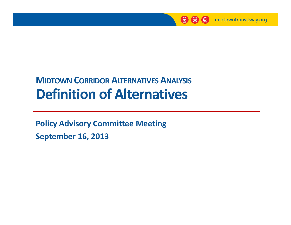

#### **MIDTOWN CORRIDOR ALTERNATIVES ANALYSIS Definition of Alternatives**

**Policy Advisory Committee Meeting September 16, 2013**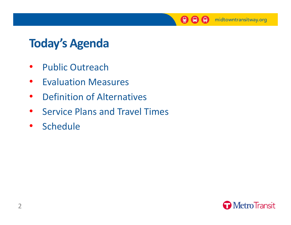

### **Today's Agenda**

- $\bullet$ • Public Outreach
- $\bullet$ **•** Evaluation Measures
- $\bullet$ **•** Definition of Alternatives
- $\bullet$ • Service Plans and Travel Times
- $\bullet$ **Schedule**

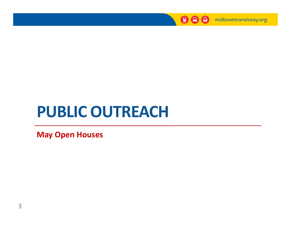

# **PUBLIC OUTREACH**

**May Open Houses**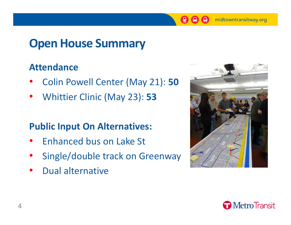$\boldsymbol{\Theta}$ 

₿

### **Open House Summary**

#### **Attendance**

- •Colin Powell Center (May 21): **50**
- $\bullet$ Whittier Clinic (May 23): **53**

#### **Public Input On Alternatives:**

- •• Enhanced bus on Lake St
- •Single/double track on Greenway
- •Dual alternative



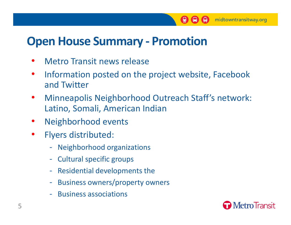$\bigcirc$ 

 $\left( 9\right)$ 

#### **Open House Summary ‐ Promotion**

- •Metro Transit news release
- $\bullet$ • Information posted on the project website, Facebook and Twitter
- $\bullet$ Minneapolis Neighborhood Outreach Staff's network: Latino, Somali, American Indian
- $\bullet$ Neighborhood events
- $\bullet$  Flyers distributed:
	- ‐Neighborhood organizations
	- ‐- Cultural specific groups
	- ‐Residential developments the
	- ‐- Business owners/property owners
	- ‐- Business associations

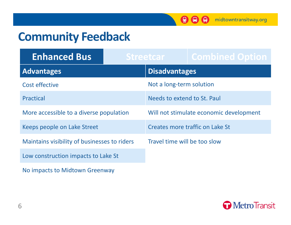$\mathbf{Q} \mathbf{\Theta} \mathbf{\Theta}$ 

#### **Community Feedback**

| <b>Enhanced Bus</b>                          |  | Streetcar                               | <b>Combined Option</b> |
|----------------------------------------------|--|-----------------------------------------|------------------------|
| <b>Advantages</b>                            |  | <b>Disadvantages</b>                    |                        |
| Cost effective                               |  | Not a long-term solution                |                        |
| <b>Practical</b>                             |  | Needs to extend to St. Paul             |                        |
| More accessible to a diverse population      |  | Will not stimulate economic development |                        |
| Keeps people on Lake Street                  |  | Creates more traffic on Lake St         |                        |
| Maintains visibility of businesses to riders |  | Travel time will be too slow            |                        |
| Low construction impacts to Lake St          |  |                                         |                        |

No impacts to Midtown Greenway

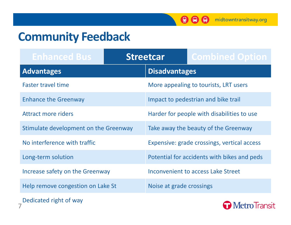$\mathbf{Q} \mathbf{\Theta} \mathbf{\Theta}$ 

#### **Community Feedback**

| <b>Enhanced Bus</b>                   |  | <b>Streetcar</b>                            | <b>Combined Option</b>                |  |
|---------------------------------------|--|---------------------------------------------|---------------------------------------|--|
| <b>Advantages</b>                     |  | <b>Disadvantages</b>                        |                                       |  |
| <b>Faster travel time</b>             |  |                                             | More appealing to tourists, LRT users |  |
| <b>Enhance the Greenway</b>           |  |                                             | Impact to pedestrian and bike trail   |  |
| Attract more riders                   |  | Harder for people with disabilities to use  |                                       |  |
| Stimulate development on the Greenway |  |                                             | Take away the beauty of the Greenway  |  |
| No interference with traffic          |  | Expensive: grade crossings, vertical access |                                       |  |
| Long-term solution                    |  | Potential for accidents with bikes and peds |                                       |  |
| Increase safety on the Greenway       |  |                                             | Inconvenient to access Lake Street    |  |
| Help remove congestion on Lake St     |  | Noise at grade crossings                    |                                       |  |



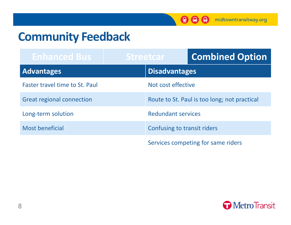$\bigcirc$   $\bigcirc$   $\bigcirc$ 

#### **Community Feedback**

| <b>Enhanced Bus</b>                   | <b>Streetcar</b>            | <b>Combined Option</b>                       |
|---------------------------------------|-----------------------------|----------------------------------------------|
| <b>Advantages</b>                     | <b>Disadvantages</b>        |                                              |
| <b>Faster travel time to St. Paul</b> | Not cost effective          |                                              |
| <b>Great regional connection</b>      |                             | Route to St. Paul is too long; not practical |
| Long-term solution                    | <b>Redundant services</b>   |                                              |
| <b>Most beneficial</b>                | Confusing to transit riders |                                              |
|                                       |                             | Services competing for same riders           |

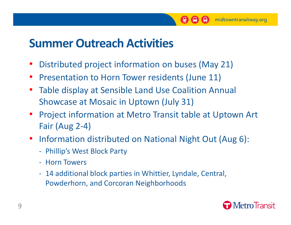## **Summer Outreach Activities**

- •Distributed project information on buses (May 21)
- $\bullet$ • Presentation to Horn Tower residents (June 11)
- • Table display at Sensible Land Use Coalition Annual Showcase at Mosaic in Uptown (July 31)
- Project information at Metro Transit table at Uptown Art Fair (Aug 2‐4)

 $\bigoplus$ 

midtowntransitway.org

 $\left( \begin{matrix} 0 \\ 2 \end{matrix} \right)$ 

- Information distributed on National Night Out (Aug 6):
	- ‐- Phillip's West Block Party
	- ‐ Horn Towers
	- ‐ 14 additional block parties in Whittier, Lyndale, Central, Powderhorn, and Corcoran Neighborhoods

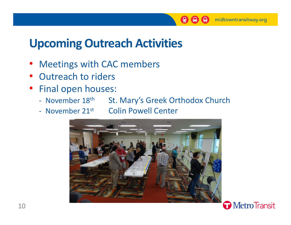## **Upcoming Outreach Activities**

- Meetings with CAC members
- Outreach to riders
- Final open houses:
	- November 18<sup>th</sup> St. Mary's Greek Orthodox Church
	-
	- November 21st Colin Powell Center

 $\bigoplus$ 

midtowntransitway.org

₿

 $\Box$ 



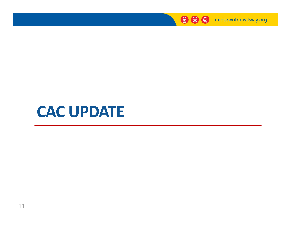

## **CAC UPDATE**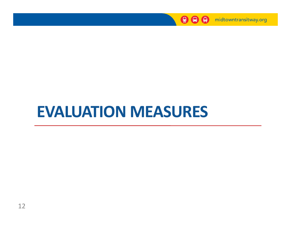

# **EVALUATION MEASURES**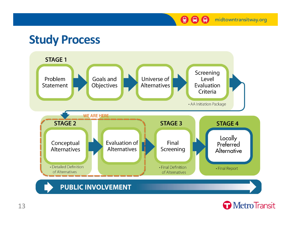midtowntransitway.org

 $\bigcirc$   $\bigcirc$   $\bigcirc$ 

#### **Study Process**



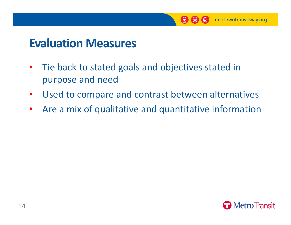

#### **Evaluation Measures**

- $\bullet$ • Tie back to stated goals and objectives stated in purpose and need
- $\bullet$ Used to compare and contrast between alternatives
- $\bullet$ Are <sup>a</sup> mix of qualitative and quantitative information

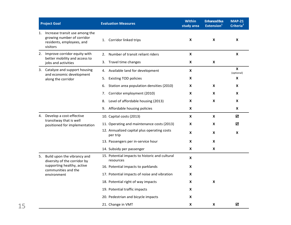|    | <b>Project Goal</b>                                                                                      | <b>Evaluation Measures</b>                                  | <b>Within</b><br>study area | <b>Enhanced Bus</b><br>Extension <sup>1</sup> | <b>MAP-21</b><br>Criteria <sup>2</sup> |  |
|----|----------------------------------------------------------------------------------------------------------|-------------------------------------------------------------|-----------------------------|-----------------------------------------------|----------------------------------------|--|
|    | 1. Increase transit use among the<br>growing number of corridor<br>residents, employees, and<br>visitors | Corridor linked trips<br>1.                                 | X                           | X                                             | $\pmb{\mathsf{X}}$                     |  |
|    | 2. Improve corridor equity with<br>better mobility and access to                                         | Number of transit reliant riders<br>2.                      | X                           |                                               | $\pmb{\mathsf{X}}$                     |  |
|    | jobs and activities                                                                                      | 3. Travel time changes                                      | X                           | $\pmb{\mathsf{X}}$                            |                                        |  |
|    | 3. Catalyze and support housing                                                                          | Available land for development<br>4.                        | $\pmb{\times}$              |                                               | $\mathbf{x}$<br>(optional)             |  |
|    | and economic development<br>along the corridor                                                           | <b>Existing TOD policies</b><br>5.                          | X                           |                                               | $\pmb{\mathsf{X}}$                     |  |
|    |                                                                                                          | Station area population densities (2010)<br>6.              | X                           | $\boldsymbol{\mathsf{x}}$                     | X                                      |  |
|    |                                                                                                          | Corridor employment (2010)<br>7.                            | X                           | X                                             | X                                      |  |
|    |                                                                                                          | Level of affordable housing (2013)<br>8.                    | X                           | $\boldsymbol{\mathsf{x}}$                     | $\pmb{\mathsf{X}}$                     |  |
|    |                                                                                                          | 9. Affordable housing policies                              | X                           |                                               | X                                      |  |
|    | 4. Develop a cost-effective                                                                              | 10. Capital costs (2013)                                    | $\pmb{\mathsf{x}}$          | $\boldsymbol{\mathsf{x}}$                     | ☑                                      |  |
|    | transitway that is well<br>positioned for implementation                                                 | 11. Operating and maintenance costs (2013)                  | X                           | X                                             | ☑                                      |  |
|    |                                                                                                          | 12. Annualized capital plus operating costs<br>per trip     | X                           | X                                             | X                                      |  |
|    |                                                                                                          | 13. Passengers per in-service hour                          | X                           | X                                             |                                        |  |
|    |                                                                                                          | 14. Subsidy per passenger                                   | X                           | $\pmb{\mathsf{X}}$                            |                                        |  |
| 5. | Build upon the vibrancy and<br>diversity of the corridor by                                              | 15. Potential impacts to historic and cultural<br>resources | X                           |                                               |                                        |  |
|    | supporting healthy, active<br>communities and the                                                        | 16. Potential impacts to parklands                          | X                           |                                               |                                        |  |
|    | environment                                                                                              | 17. Potential impacts of noise and vibration                | $\pmb{\mathsf{X}}$          |                                               |                                        |  |
|    |                                                                                                          | 18. Potential right of way impacts                          | X                           | $\boldsymbol{\mathsf{x}}$                     |                                        |  |
|    |                                                                                                          | 19. Potential traffic impacts                               | X                           |                                               |                                        |  |
|    |                                                                                                          | 20. Pedestrian and bicycle impacts                          | X                           |                                               |                                        |  |
|    |                                                                                                          | 21. Change in VMT                                           | X                           | X                                             | ☑                                      |  |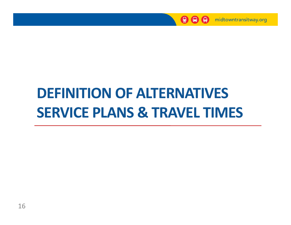

# **DEFINITION FINITIONOF A T RNATIV S ALTERNATIVES SERVICE PLANS & TRAVEL TIMES**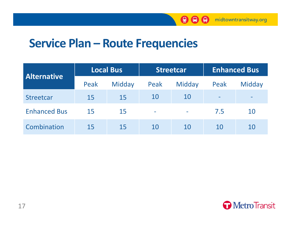

#### **Service Plan – Route Frequencies**

| <b>Alternative</b>  |      | <b>Local Bus</b> | <b>Streetcar</b> |        |      | <b>Enhanced Bus</b> |
|---------------------|------|------------------|------------------|--------|------|---------------------|
|                     | Peak | Midday           | Peak             | Midday | Peak | Midday              |
| <b>Streetcar</b>    | 15   | 15               | 10               | 10     |      |                     |
| <b>Enhanced Bus</b> | 15   | 15               | ÷                |        | 7.5  | 10                  |
| Combination         | 15   | 15               | 10               | 10     | 10   | 10                  |

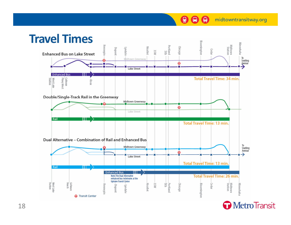**O** Transit Center





**A A** midtowntransitway.org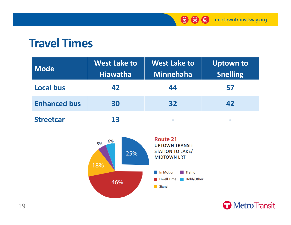

#### **Travel Times**

| <b>Mode</b>         | <b>West Lake to</b><br><b>Hiawatha</b> | <b>West Lake to</b><br><b>Minnehaha</b> | <b>Uptown to</b><br><b>Snelling</b> |
|---------------------|----------------------------------------|-----------------------------------------|-------------------------------------|
| <b>Local bus</b>    | 42                                     | 44                                      | 57                                  |
| <b>Enhanced bus</b> | 30                                     | 32                                      | 42                                  |
| <b>Streetcar</b>    | 13                                     | $\sim$                                  |                                     |



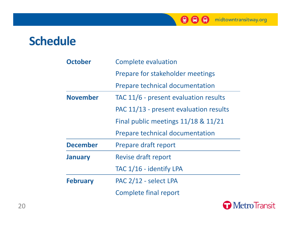

#### **Schedule**

| <b>October</b>  | <b>Complete evaluation</b>             |
|-----------------|----------------------------------------|
|                 | Prepare for stakeholder meetings       |
|                 | <b>Prepare technical documentation</b> |
| <b>November</b> | TAC 11/6 - present evaluation results  |
|                 | PAC 11/13 - present evaluation results |
|                 | Final public meetings 11/18 & 11/21    |
|                 |                                        |
|                 | <b>Prepare technical documentation</b> |
| <b>December</b> | Prepare draft report                   |
| <b>January</b>  | Revise draft report                    |
|                 | TAC 1/16 - identify LPA                |
| <b>February</b> | PAC 2/12 - select LPA                  |